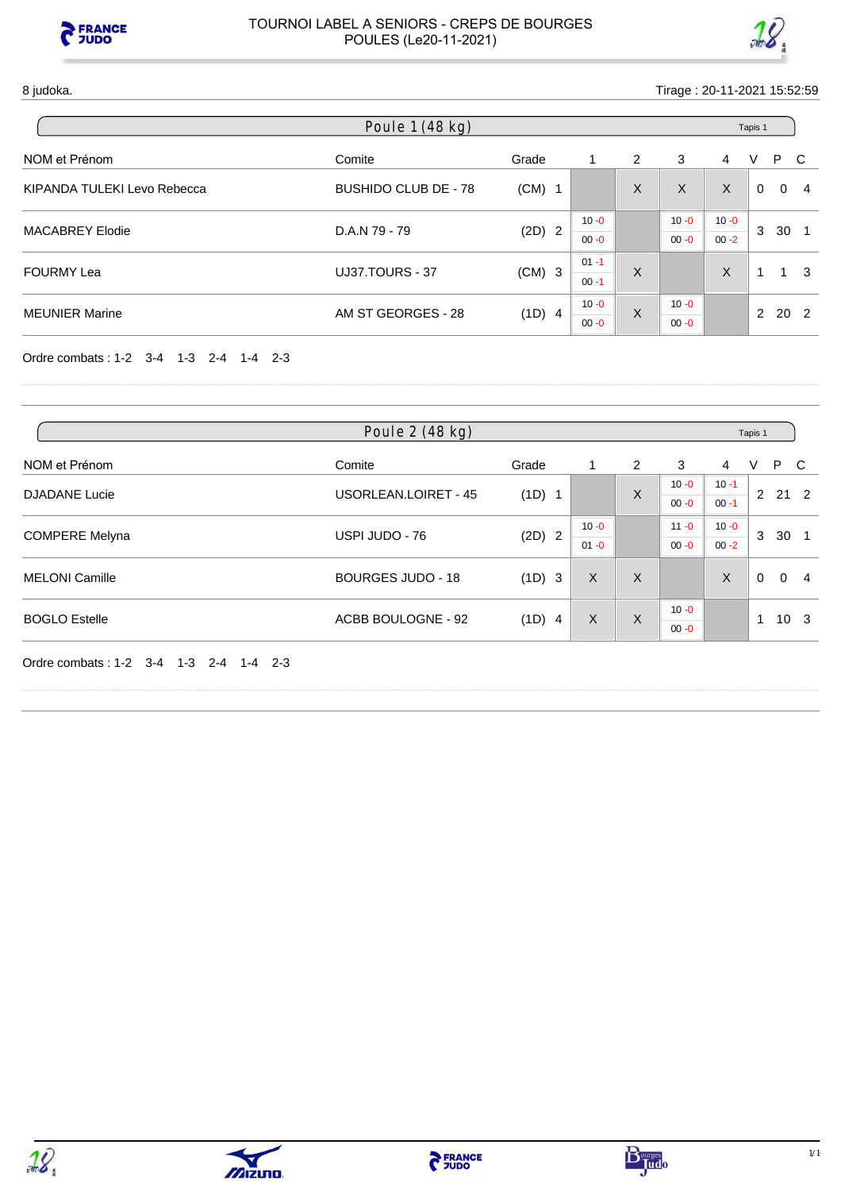



#### 8 judoka. Tirage : 20-11-2021 15:52:59

| Poule 1 (48 kg)             |                             |          |                      |                      |          |          |               | Tapis 1         |     |  |  |  |
|-----------------------------|-----------------------------|----------|----------------------|----------------------|----------|----------|---------------|-----------------|-----|--|--|--|
| NOM et Prénom               | Comite                      | Grade    |                      | 2                    | 3        | 4        | V             | P.              | -C  |  |  |  |
| KIPANDA TULEKI Levo Rebecca | <b>BUSHIDO CLUB DE - 78</b> | $(CM)$ 1 |                      | X                    | X        | X        | $\Omega$      | $\Omega$        | -4  |  |  |  |
| <b>MACABREY Elodie</b>      |                             |          | $10 - 0$             | $10 - 0$<br>$10 - 0$ | 3        | 30       |               |                 |     |  |  |  |
|                             | D.A.N 79 - 79               | $(2D)$ 2 | $00 - 0$             |                      | $00 - 0$ | $00 - 2$ |               |                 |     |  |  |  |
| <b>FOURMY Lea</b>           | <b>UJ37.TOURS - 37</b>      |          | $01 - 1$<br>$(CM)$ 3 | X                    |          | X        |               | $\mathbf{1}$    | - 3 |  |  |  |
|                             |                             |          | $00 - 1$             |                      |          |          |               |                 |     |  |  |  |
| <b>MEUNIER Marine</b>       | AM ST GEORGES - 28          |          | $10 - 0$             | X                    | $10 - 0$ |          | $\mathcal{P}$ | 20 <sub>2</sub> |     |  |  |  |
|                             |                             | $(1D)$ 4 | $00 - 0$             |                      | $00 - 0$ |          |               |                 |     |  |  |  |

Ordre combats : 1-2 3-4 1-3 2-4 1-4 2-3

| Poule 2 (48 kg)       |                          |                                         |          |   |                      |          | Tapis 1  |              |                |  |
|-----------------------|--------------------------|-----------------------------------------|----------|---|----------------------|----------|----------|--------------|----------------|--|
| NOM et Prénom         | Comite                   | Grade                                   |          | 2 | 3                    | 4        | V        | P            | - C            |  |
|                       |                          | <b>USORLEAN.LOIRET - 45</b><br>$(1D)$ 1 |          |   | $10 - 0$             | $10 - 1$ | 2        |              |                |  |
| <b>DJADANE</b> Lucie  |                          |                                         |          | X | $00 - 0$             | $00 - 1$ |          | $21 \quad 2$ |                |  |
|                       |                          |                                         | $10 - 0$ |   | $11 - 0$             | $10 - 0$ | 3        |              |                |  |
| <b>COMPERE Melyna</b> | USPI JUDO - 76           | $(2D)$ 2                                | $01 - 0$ |   | $00 - 0$             | $00 - 2$ |          | 30           |                |  |
| <b>MELONI Camille</b> | <b>BOURGES JUDO - 18</b> | (1D) 3                                  | X        | X |                      | X        | $\Omega$ | $\Omega$     | $\overline{4}$ |  |
| <b>BOGLO Estelle</b>  | ACBB BOULOGNE - 92       | (1D) 4                                  | X        | X | $10 - 0$<br>$00 - 0$ |          | 1        | 10           | - 3            |  |

Ordre combats : 1-2 3-4 1-3 2-4 1-4 2-3





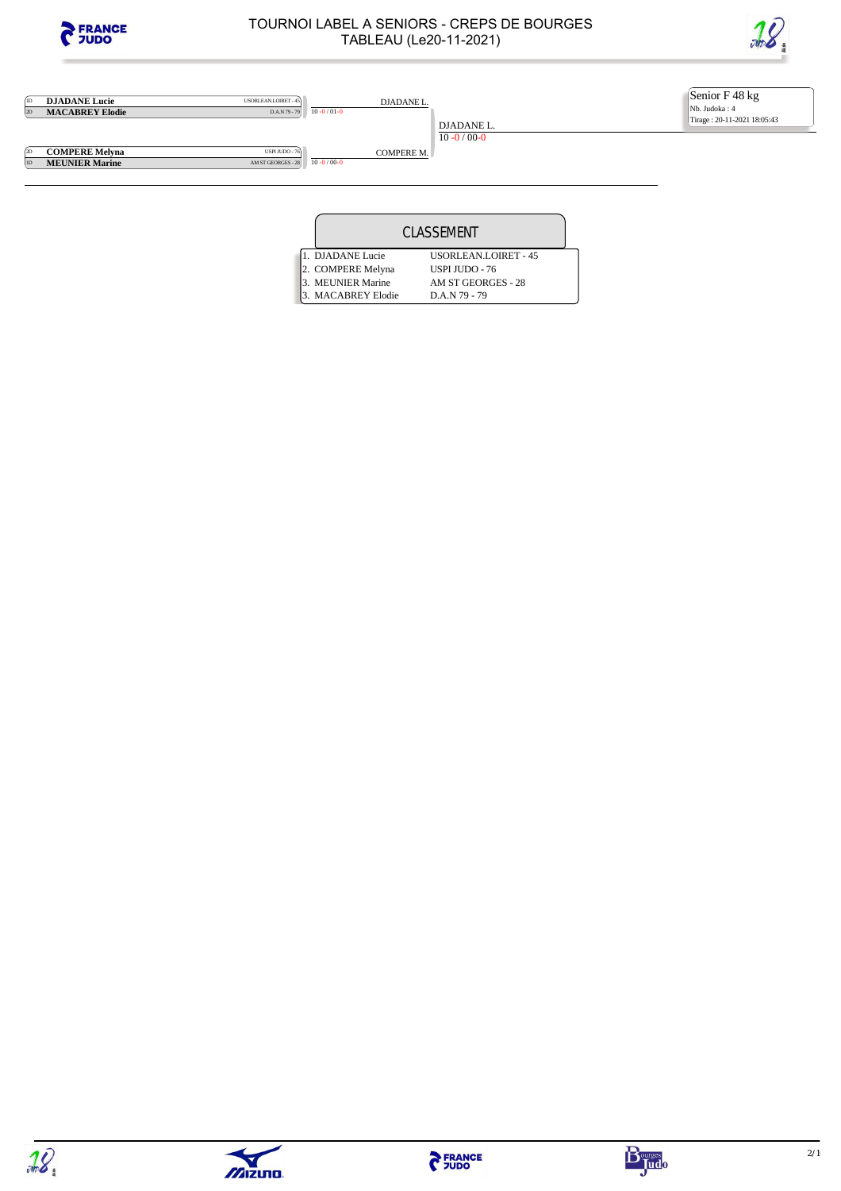

**1D DJADANE Lucie** USORLEAN.LOIRET - 45<br>2D **MACABREY Elodie** DAN<sub>79</sub> - 79

### TOURNOI LABEL A SENIORS - CREPS DE BOURGES TABLEAU (Le20-11-2021)



Senior F 48 kg Nb. Judoka : 4 Tirage : 20-11-2021 18:05:43

<sup>2D</sup> **COMPERE Melyna**<br><sup>UD</sup> **MEUNIER Marine MEUNIER Marine** 

 $10 - 0 / 01 - 0$ 

USPIJUDO - 76<br>AM ST GEORGES - 28<br> $\boxed{10 - 0/00}$ 

DJADANE L. 10 -0 / 00-0 COMPERE M.

DJADANE L.

|  |                    | CLASSEMENT                  |  |
|--|--------------------|-----------------------------|--|
|  | 1. DJADANE Lucie   | <b>USORLEAN.LOIRET - 45</b> |  |
|  | 2. COMPERE Melyna  | <b>USPI JUDO - 76</b>       |  |
|  | 3. MEUNIER Marine  | AM ST GEORGES - 28          |  |
|  | 3. MACABREY Elodie | D.A.N 79 - 79               |  |





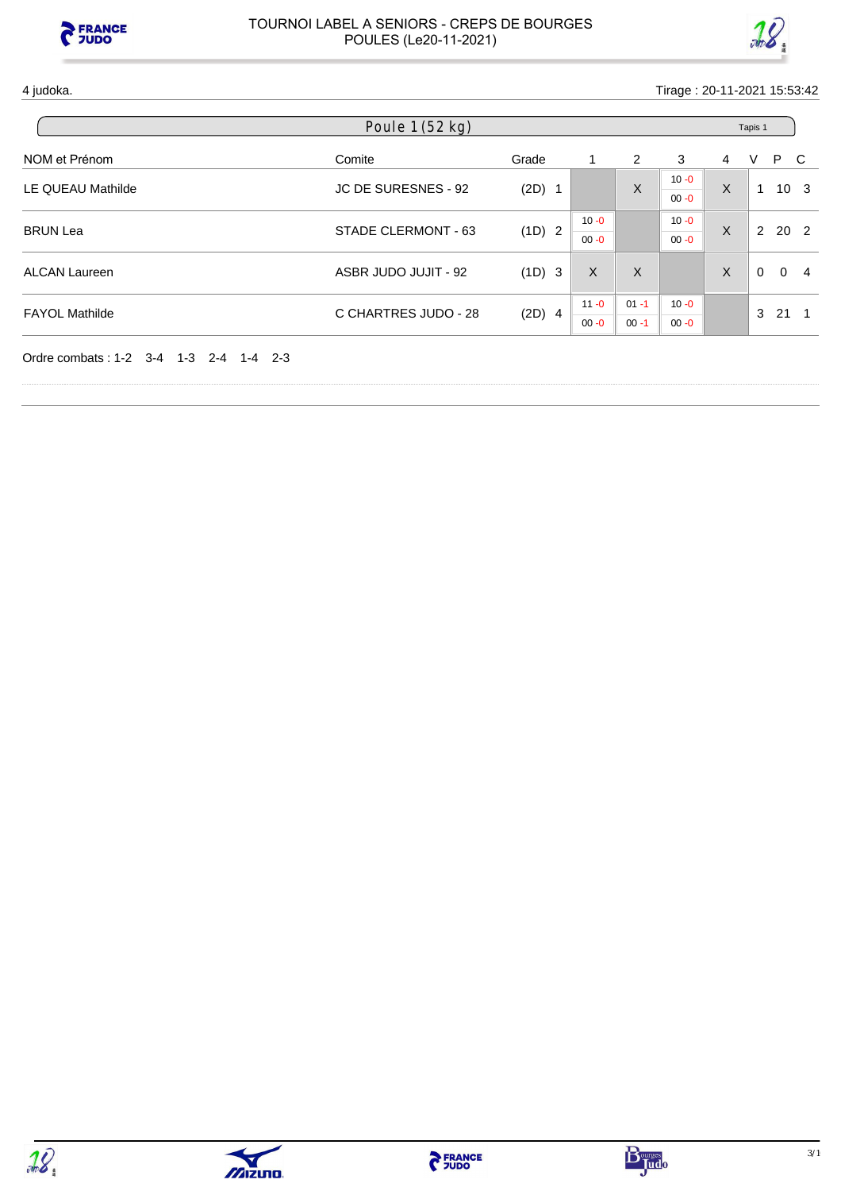



4 judoka. Tirage : 20-11-2021 15:53:42

|                          | Poule 1 (52 kg)      |          |          |          |          |         | Tapis 1  |          |                 |
|--------------------------|----------------------|----------|----------|----------|----------|---------|----------|----------|-----------------|
| NOM et Prénom            | Comite               | Grade    |          | 2        | 3        | 4       | V        | P C      |                 |
| <b>LE QUEAU Mathilde</b> | JC DE SURESNES - 92  | $(2D)$ 1 |          | X        | $10 - 0$ | X       | 1        |          | 10 <sub>3</sub> |
|                          |                      |          |          |          | $00 - 0$ |         |          |          |                 |
| <b>BRUN Lea</b>          | STADE CLERMONT - 63  | (1D) 2   | $10 - 0$ |          | $10 - 0$ | $\sf X$ |          | 2 20 2   |                 |
|                          |                      |          | $00 - 0$ |          | $00 - 0$ |         |          |          |                 |
| <b>ALCAN Laureen</b>     | ASBR JUDO JUJIT - 92 | (1D) 3   | X        | X        |          | X       | $\Omega$ | $\Omega$ | -4              |
|                          |                      |          | $11 - 0$ | $01 - 1$ | $10 - 0$ |         |          |          |                 |
| <b>FAYOL Mathilde</b>    | C CHARTRES JUDO - 28 | $(2D)$ 4 | $00 - 0$ | $00 - 1$ | $00 - 0$ |         | 3        | 21       |                 |



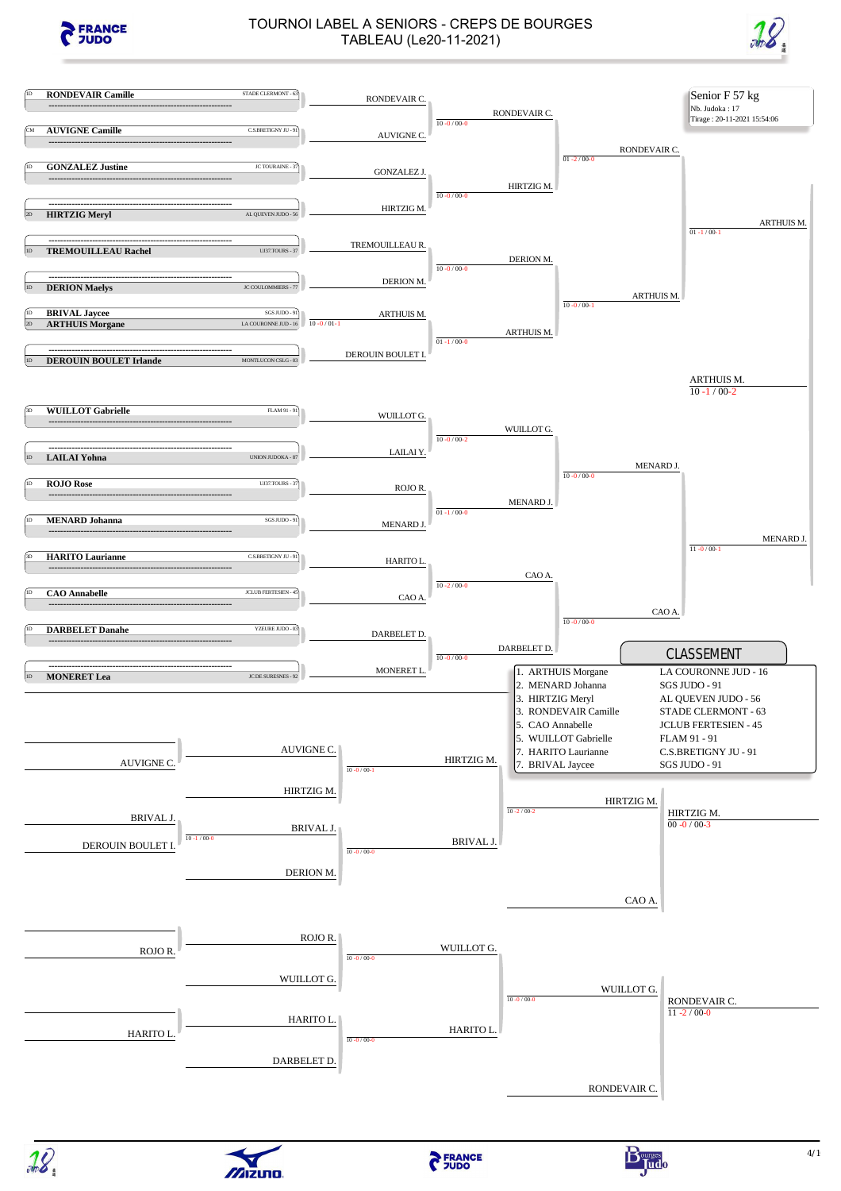

## TOURNOI LABEL A SENIORS - CREPS DE BOURGES TABLEAU (Le20-11-2021)







 $\sqrt{2}$ izuno.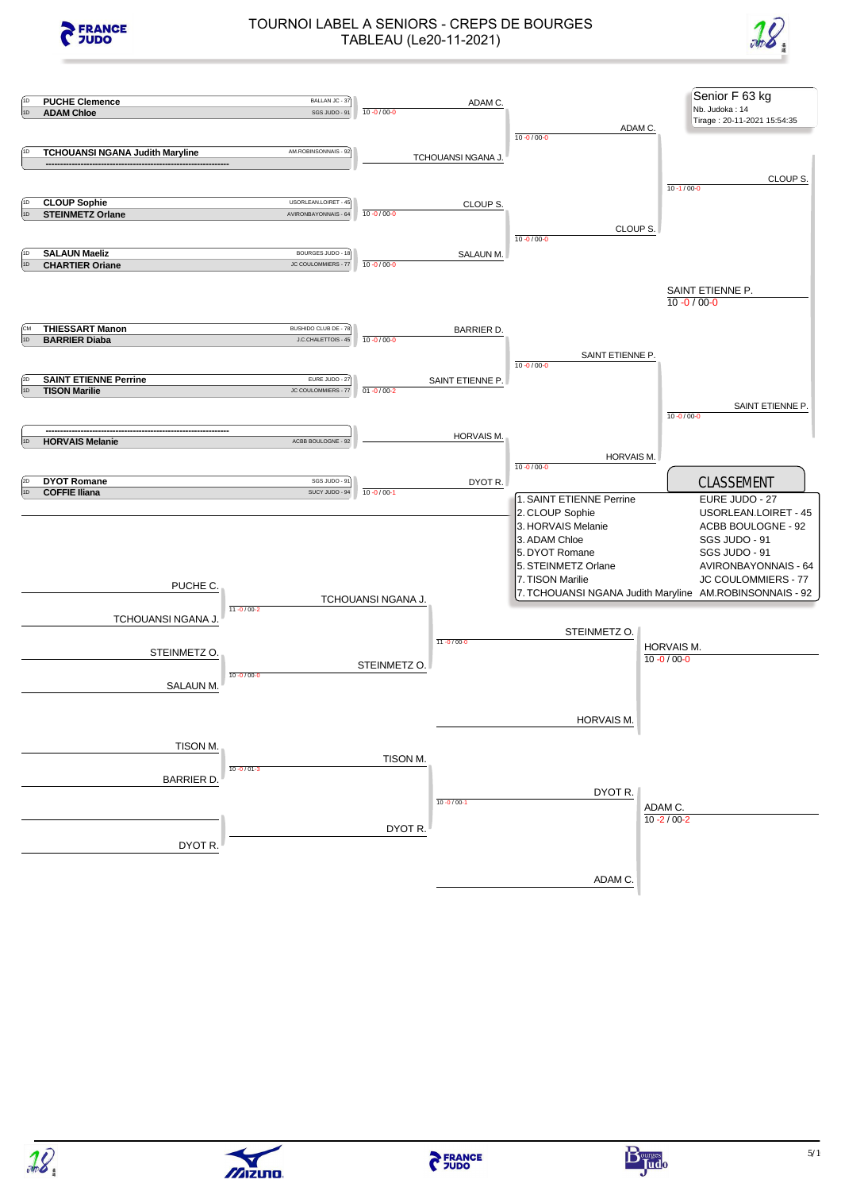

# TOURNOI LABEL A SENIORS - CREPS DE BOURGES TABLEAU (Le20-11-2021)











 $\sqrt{2}$ izuno.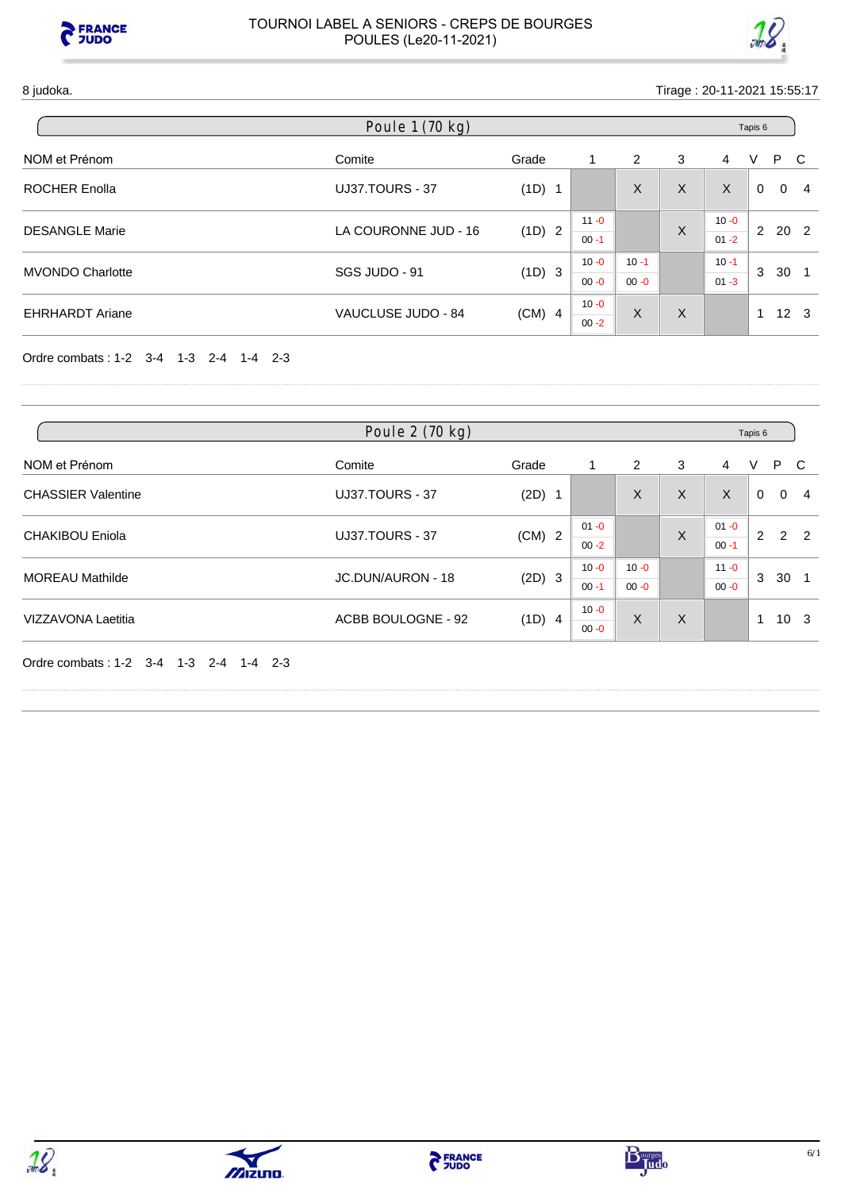



| Poule 1 (70 kg)         |                      |          |                      |                      |          |                      | Tapis 6                 |                            |
|-------------------------|----------------------|----------|----------------------|----------------------|----------|----------------------|-------------------------|----------------------------|
| NOM et Prénom           | Comite               | Grade    | 1                    | 2                    | 3        | 4                    | V                       | P C                        |
| <b>ROCHER Enolla</b>    | UJ37.TOURS - 37      | (1D) 1   |                      | X                    | X        | X                    | $\Omega$                | $\Omega$<br>$\overline{4}$ |
| <b>DESANGLE Marie</b>   | LA COURONNE JUD - 16 | (1D) 2   | $11 - 0$<br>$00 - 1$ |                      | X        | $10 - 0$<br>$01 - 2$ | 2                       | 20 2                       |
| <b>MVONDO Charlotte</b> | SGS JUDO - 91        | (1D) 3   | $10 - 0$<br>$00 - 0$ | $10 - 1$<br>$00 - 0$ |          | $10 - 1$<br>$01 - 3$ | 3                       | 30                         |
| <b>EHRHARDT Ariane</b>  | VAUCLUSE JUDO - 84   | $(CM)$ 4 | $10 - 0$<br>$00 - 2$ | X                    | $\times$ |                      | $\overline{\mathbf{A}}$ | $12 \quad 3$               |

Ordre combats : 1-2 3-4 1-3 2-4 1-4 2-3

| Poule 2 (70 kg)           |                        |          |                      |                      |   |                      | Tapis 6 |          |                 |
|---------------------------|------------------------|----------|----------------------|----------------------|---|----------------------|---------|----------|-----------------|
| NOM et Prénom             | Comite                 | Grade    | 1                    | 2                    | 3 | 4                    | V       | P.       | - C             |
| <b>CHASSIER Valentine</b> | <b>UJ37.TOURS - 37</b> | $(2D)$ 1 |                      | X                    | X | X                    | 0       | $\Omega$ | 4               |
| <b>CHAKIBOU Eniola</b>    | UJ37.TOURS - 37        | $(CM)$ 2 | $01 - 0$<br>$00 - 2$ |                      | X | $01 - 0$<br>$00 - 1$ | 2       |          | $2\quad 2$      |
| <b>MOREAU Mathilde</b>    | JC.DUN/AURON - 18      | (2D) 3   | $10 - 0$<br>$00 - 1$ | $10 - 0$<br>$00 - 0$ |   | $11 - 0$<br>$00 - 0$ | 3       | 30       |                 |
| <b>VIZZAVONA Laetitia</b> | ACBB BOULOGNE - 92     | (1D) 4   | $10 - 0$<br>$00 - 0$ | X                    | X |                      | 1       |          | 10 <sub>3</sub> |

Ordre combats : 1-2 3-4 1-3 2-4 1-4 2-3







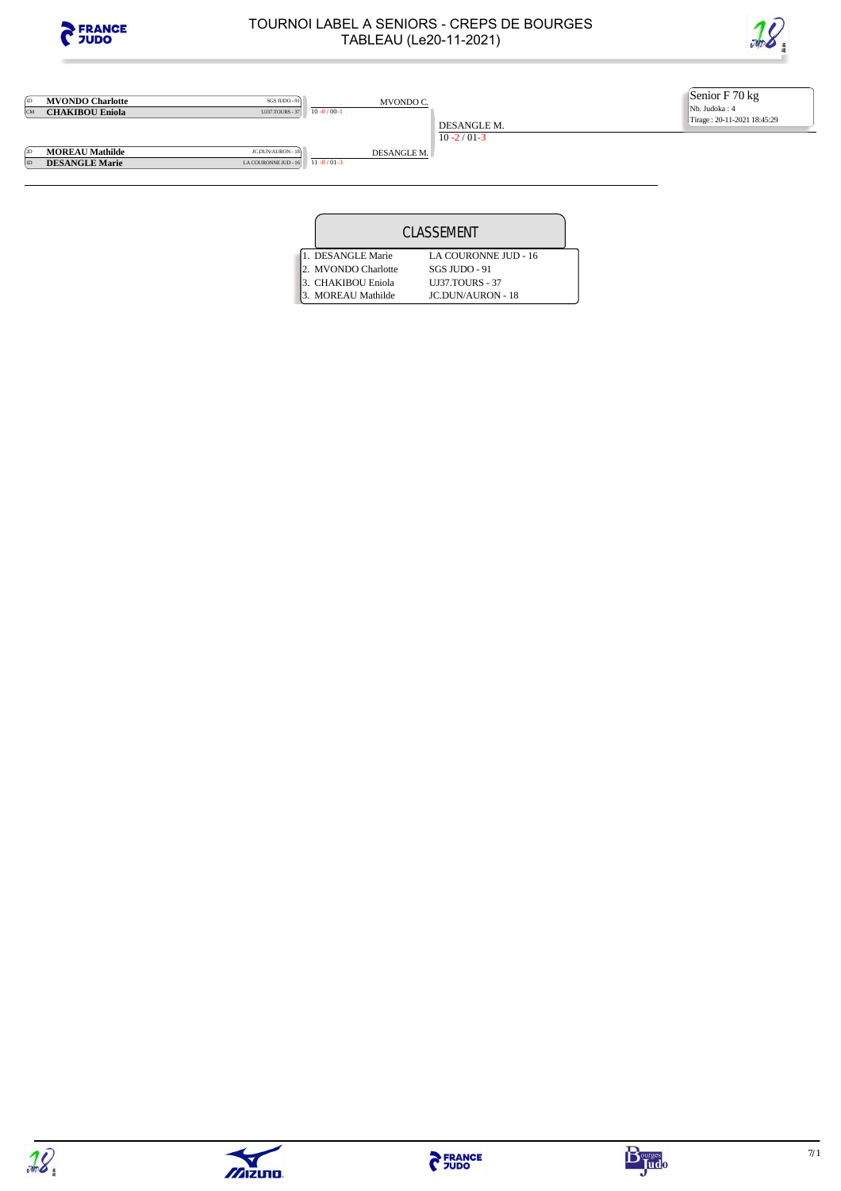

**1D MVONDO Charlotte** SGS JUDO - 91<br>CM **CHAKIBOU Eniola** UJ37.TOURS - 37

### TOURNOI LABEL A SENIORS - CREPS DE BOURGES TABLEAU (Le20-11-2021)



Senior F 70 kg Nb. Judoka : 4 Tirage : 20-11-2021 18:45:29

**2D MOREAU Mathilde** JCDUN/AURON - 18<br> **2D DESANGLE Marie** LACOURONNE JUD - 16 **DESANGLE Marie** 

MVONDO C.

DESANGLE M.

 $10 - 0 / 00 - 1$ 

DESANGLE M.

10 -2 / 01-3

| LA COURONNE JUD - 16 $11 - 0/01 - 3$ |  |
|--------------------------------------|--|
|                                      |  |
|                                      |  |
|                                      |  |

|  |                     | CLASSEMENT               |  |
|--|---------------------|--------------------------|--|
|  | . DESANGLE Marie    | LA COURONNE JUD - 16     |  |
|  | 2. MVONDO Charlotte | SGS JUDO - 91            |  |
|  | 3. CHAKIBOU Eniola  | <b>UI37.TOURS - 37</b>   |  |
|  | 3. MOREAU Mathilde  | <b>JC.DUN/AURON - 18</b> |  |





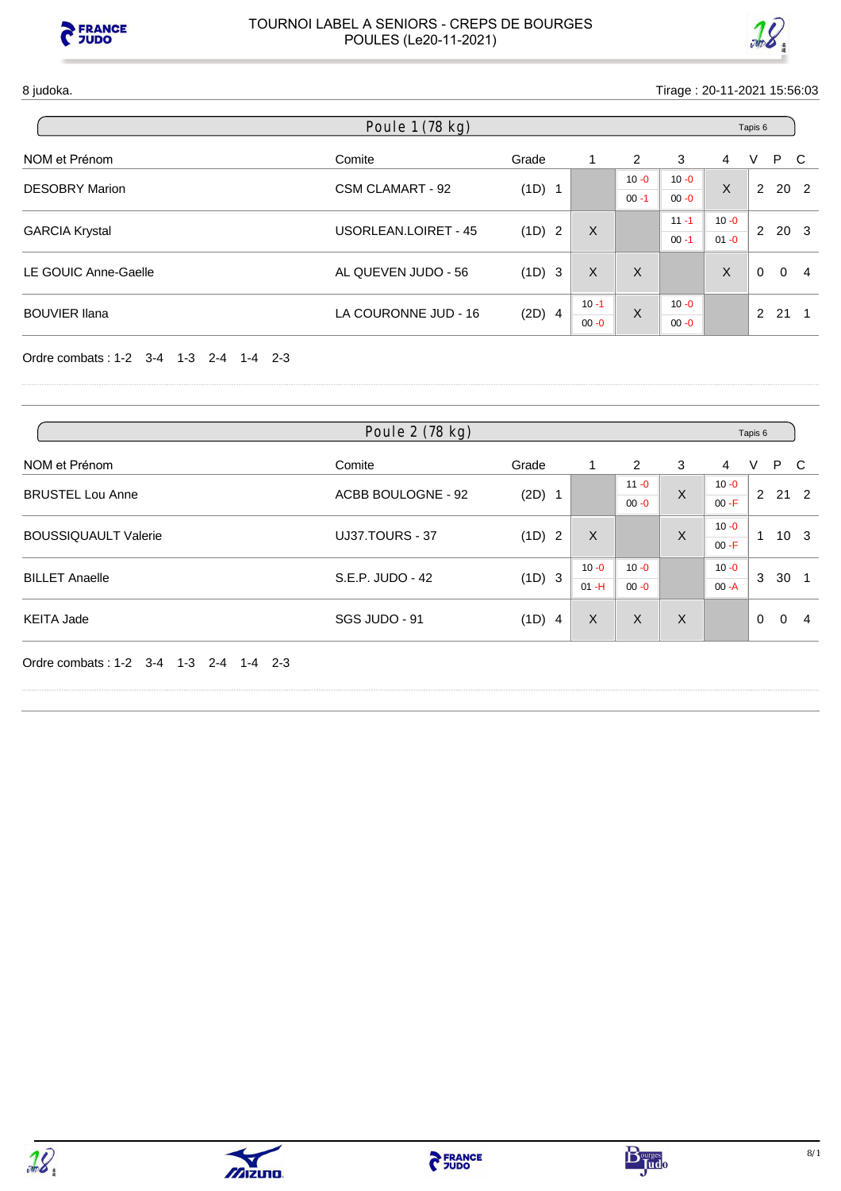



| Poule 1 (78 kg)       |                         |          |          |          |          |          | Tapis 6       |            |     |
|-----------------------|-------------------------|----------|----------|----------|----------|----------|---------------|------------|-----|
| NOM et Prénom         | Comite                  | Grade    | 1        | 2        | 3        | 4        | V             | P.         | - C |
|                       | <b>CSM CLAMART - 92</b> | (1D) 1   |          | $10 - 0$ | $10 - 0$ | X        |               | $2\ 20\ 2$ |     |
| <b>DESOBRY Marion</b> |                         |          |          | $00 - 1$ | $00 - 0$ |          |               |            |     |
|                       |                         | (1D) 2   |          |          | $11 - 1$ | $10 - 0$ | 2             |            |     |
| <b>GARCIA Krystal</b> | USORLEAN.LOIRET - 45    |          | X        |          | $00 - 1$ | $01 - 0$ |               | 20 3       |     |
| LE GOUIC Anne-Gaelle  | AL QUEVEN JUDO - 56     | (1D) 3   | X        | X        |          | X        | $\Omega$      | $\Omega$   | -4  |
| <b>BOUVIER Ilana</b>  | LA COURONNE JUD - 16    |          | $10 - 1$ | X        | $10 - 0$ |          | $\mathcal{P}$ | 21         |     |
|                       |                         | $(2D)$ 4 | $00 - 0$ |          | $00 - 0$ |          |               |            |     |

Ordre combats : 1-2 3-4 1-3 2-4 1-4 2-3

| Poule 2 (78 kg)             |                        |          |                    |          |          |          | Tapis 6  |              |                 |  |
|-----------------------------|------------------------|----------|--------------------|----------|----------|----------|----------|--------------|-----------------|--|
| NOM et Prénom               | Comite                 | Grade    |                    | 2        | 3        | 4        | V        | P.           | - C             |  |
| <b>BRUSTEL Lou Anne</b>     | ACBB BOULOGNE - 92     |          |                    | $11 - 0$ | X        | $10 - 0$ | 2        | $21 \quad 2$ |                 |  |
|                             |                        | $(2D)$ 1 |                    | $00 - 0$ |          | $00 - F$ |          |              |                 |  |
| <b>BOUSSIQUAULT Valerie</b> | <b>UJ37.TOURS - 37</b> | (1D) 2   | X                  |          | X        | $10 - 0$ |          |              | 10 <sub>3</sub> |  |
|                             |                        |          |                    |          |          | $00 - F$ |          |              |                 |  |
| <b>BILLET Anaelle</b>       | S.E.P. JUDO - 42       |          |                    | $10 - 0$ | $10 - 0$ |          | $10 - 0$ | 3            | 30              |  |
|                             |                        |          | (1D) 3<br>$01 - H$ | $00 - 0$ |          | $00 - A$ |          |              |                 |  |
| <b>KEITA Jade</b>           | SGS JUDO - 91          | (1D) 4   | X                  | X        | X        |          | $\Omega$ | $\Omega$     | -4              |  |

Ordre combats : 1-2 3-4 1-3 2-4 1-4 2-3







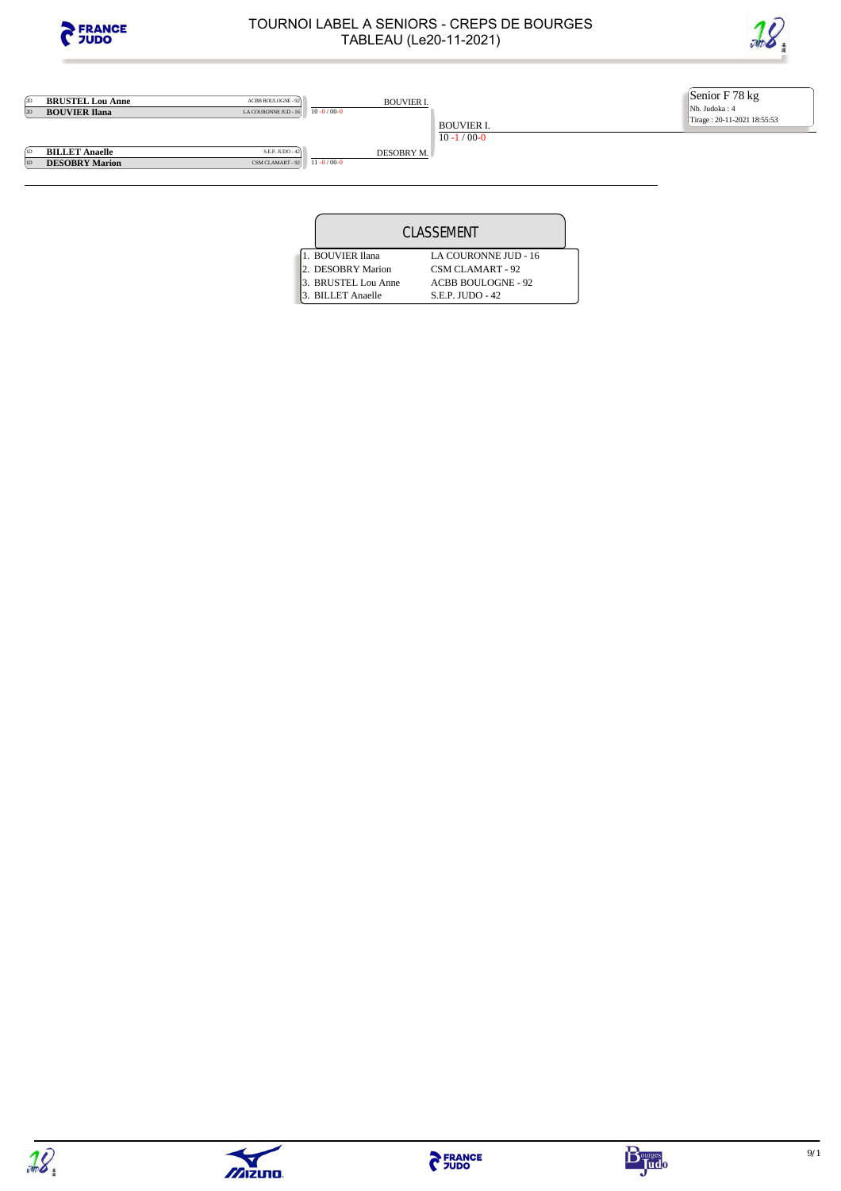

2D **BRUSTEL Lou Anne** ACBB BOULOGNE-92<br>2D **BOUVIER Ilana** LA COURONNE JUD - 16

### TOURNOI LABEL A SENIORS - CREPS DE BOURGES TABLEAU (Le20-11-2021)



Senior F 78 kg Nb. Judoka : 4 Tirage : 20-11-2021 18:55:53

**1D BILLET Anaelle**<br> **ID DESOBRY Mario DESOBRY Marion**  BOUVIER I.

BOUVIER I.

10 -1 / 00-0

| DESOBRY M. |  |
|------------|--|

 $10 - 0 / 00 - 0$ 

 $\frac{\text{S.E.P. JUDO - 42}}{\text{CSM CLAMART - 92}}$ 

|  |                     | CLASSEMENT                |  |
|--|---------------------|---------------------------|--|
|  | 1. BOUVIER Ilana    | LA COURONNE JUD - 16      |  |
|  | 2. DESOBRY Marion   | <b>CSM CLAMART - 92</b>   |  |
|  | 3. BRUSTEL Lou Anne | <b>ACBB BOULOGNE - 92</b> |  |
|  | 3. BILLET Anaelle   | S.E.P. JUDO - 42          |  |